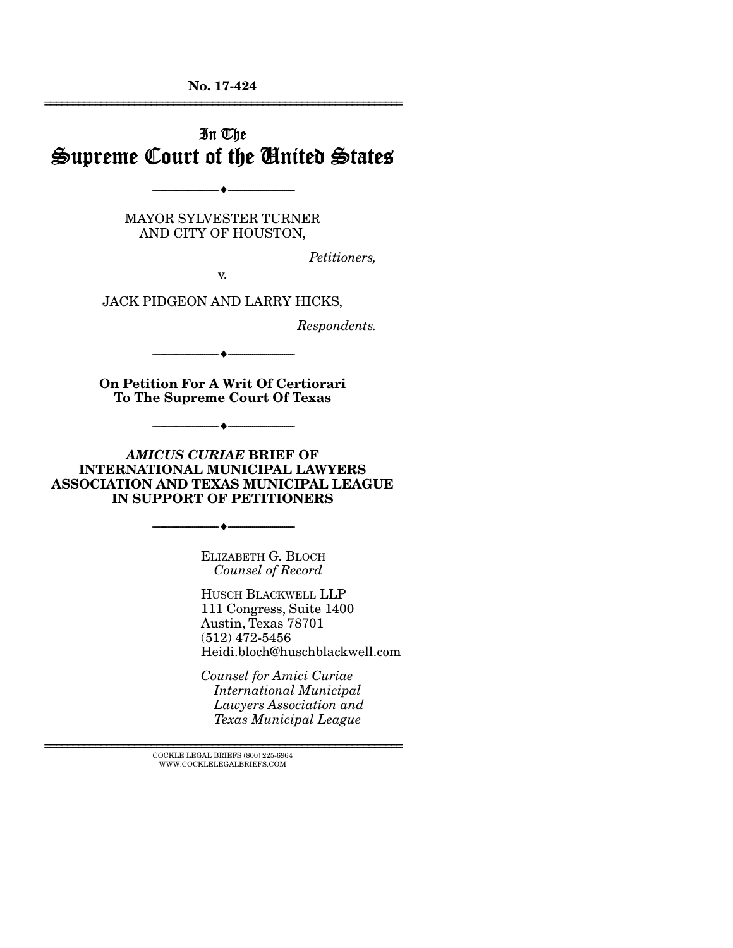No. 17-424 ================================================================

# In The Supreme Court of the United States

MAYOR SYLVESTER TURNER AND CITY OF HOUSTON,

--------------------------------- ---------------------------------

*Petitioners,* 

v.

JACK PIDGEON AND LARRY HICKS,

*Respondents.* 

--------------------------------- ---------------------------------

On Petition For A Writ Of Certiorari To The Supreme Court Of Texas

--------------------------------- ---------------------------------

*AMICUS CURIAE* BRIEF OF INTERNATIONAL MUNICIPAL LAWYERS ASSOCIATION AND TEXAS MUNICIPAL LEAGUE IN SUPPORT OF PETITIONERS

--------------------------------- ---------------------------------

ELIZABETH G. BLOCH *Counsel of Record* 

HUSCH BLACKWELL LLP 111 Congress, Suite 1400 Austin, Texas 78701 (512) 472-5456 Heidi.bloch@huschblackwell.com

*Counsel for Amici Curiae International Municipal Lawyers Association and Texas Municipal League* 

 $\textsc{COCKLE}$  LEGAL BRIEFS (800) 225-6964 WWW.COCKLELEGALBRIEFS.COM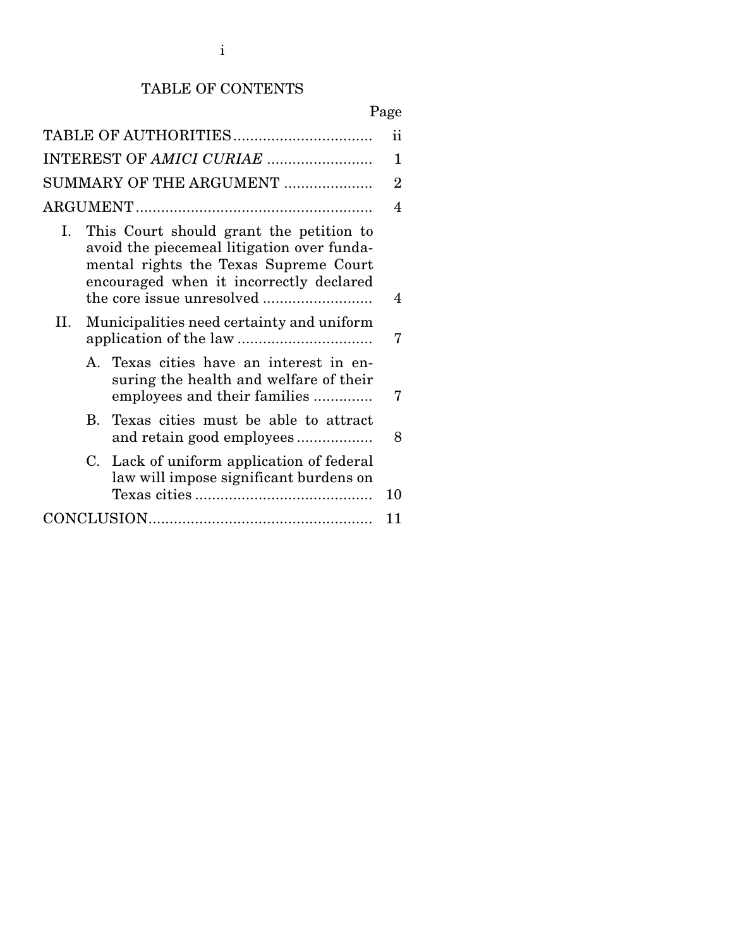## TABLE OF CONTENTS

# Page

| ii<br>TABLE OF AUTHORITIES |            |                                                                                                                                                                           |    |  |
|----------------------------|------------|---------------------------------------------------------------------------------------------------------------------------------------------------------------------------|----|--|
| INTEREST OF AMICI CURIAE   |            |                                                                                                                                                                           |    |  |
| SUMMARY OF THE ARGUMENT    |            |                                                                                                                                                                           |    |  |
|                            |            |                                                                                                                                                                           |    |  |
| L.                         |            | This Court should grant the petition to<br>avoid the piecemeal litigation over funda-<br>mental rights the Texas Supreme Court<br>encouraged when it incorrectly declared | 4  |  |
| П.                         |            | Municipalities need certainty and uniform                                                                                                                                 | 7  |  |
|                            |            | A. Texas cities have an interest in en-<br>suring the health and welfare of their<br>employees and their families                                                         | 7  |  |
|                            | $\bf{B}$ . | Texas cities must be able to attract<br>and retain good employees                                                                                                         | 8  |  |
|                            | C.         | Lack of uniform application of federal<br>law will impose significant burdens on                                                                                          | 10 |  |
| 11                         |            |                                                                                                                                                                           |    |  |
|                            |            |                                                                                                                                                                           |    |  |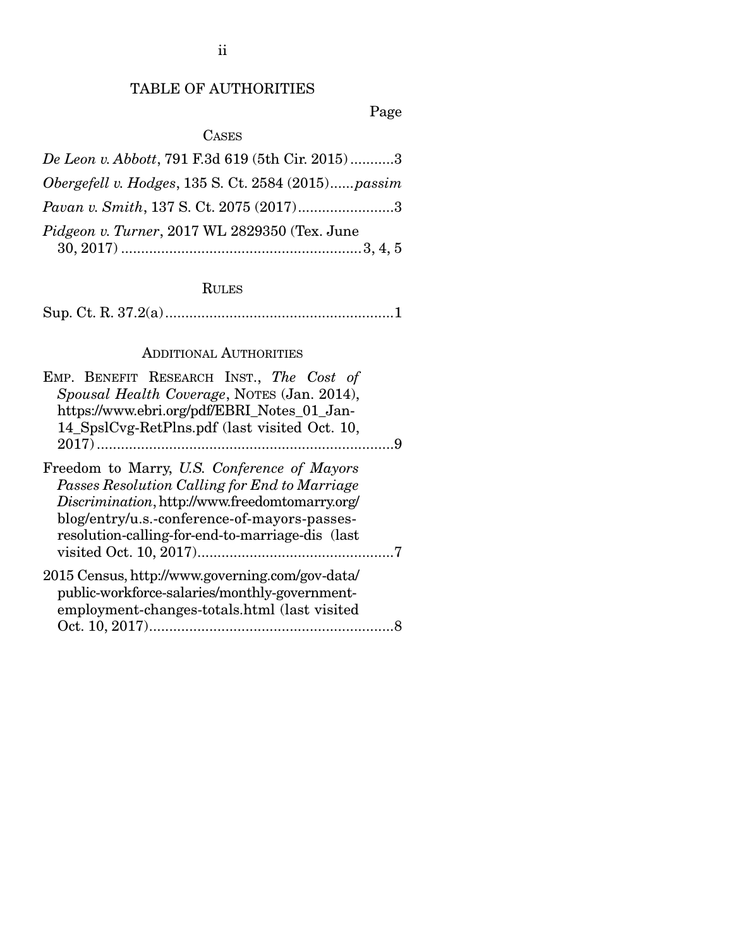ii

## TABLE OF AUTHORITIES

Page

## CASES

| De Leon v. Abbott, 791 F.3d 619 (5th Cir. 2015)3   |
|----------------------------------------------------|
| Obergefell v. Hodges, 135 S. Ct. 2584 (2015)passim |
| <i>Pavan v. Smith, 137 S. Ct. 2075 (2017)</i> 3    |
| Pidgeon v. Turner, 2017 WL 2829350 (Tex. June      |
|                                                    |

## RULES

|--|--|--|--|--|

## ADDITIONAL AUTHORITIES

| EMP. BENEFIT RESEARCH INST., The Cost of                                                                                                                                                                                                           |  |
|----------------------------------------------------------------------------------------------------------------------------------------------------------------------------------------------------------------------------------------------------|--|
| Spousal Health Coverage, NOTES (Jan. 2014),                                                                                                                                                                                                        |  |
| https://www.ebri.org/pdf/EBRI_Notes_01_Jan-                                                                                                                                                                                                        |  |
| 14_SpslCvg-RetPlns.pdf (last visited Oct. 10,                                                                                                                                                                                                      |  |
|                                                                                                                                                                                                                                                    |  |
| Freedom to Marry, U.S. Conference of Mayors<br>Passes Resolution Calling for End to Marriage<br>Discrimination, http://www.freedomtomarry.org/<br>blog/entry/u.s.-conference-of-mayors-passes-<br>resolution-calling-for-end-to-marriage-dis (last |  |
| 2015 Census, http://www.governing.com/gov-data/<br>public-workforce-salaries/monthly-government-<br>employment-changes-totals.html (last visited                                                                                                   |  |
|                                                                                                                                                                                                                                                    |  |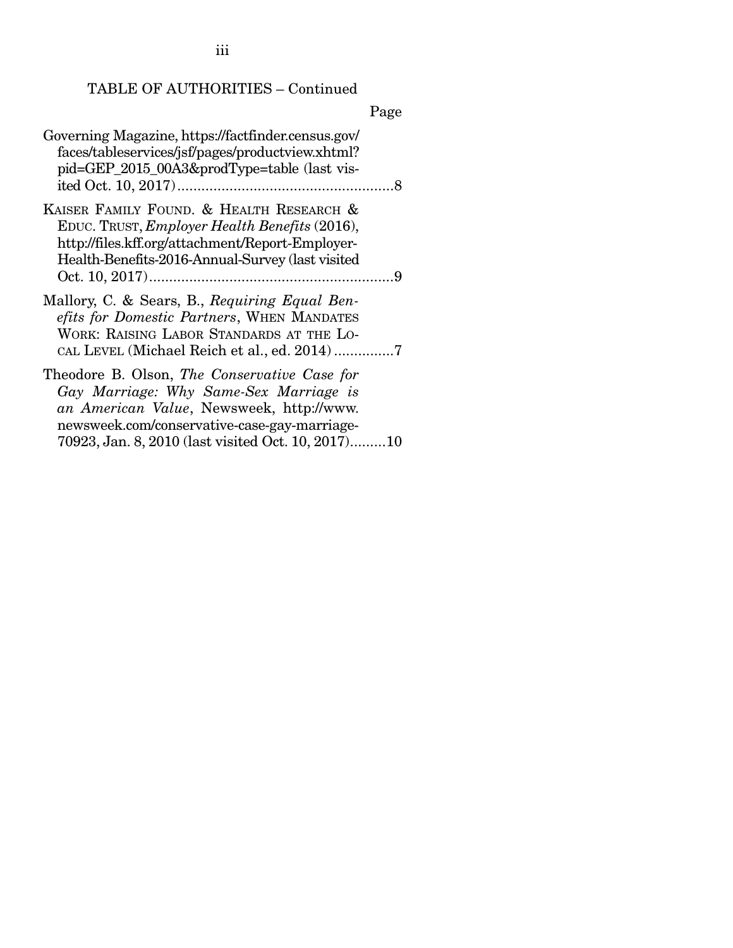iii

## TABLE OF AUTHORITIES – Continued

|                                                                                                                                                                                                                                          | Page |
|------------------------------------------------------------------------------------------------------------------------------------------------------------------------------------------------------------------------------------------|------|
| Governing Magazine, https://factfinder.census.gov/<br>faces/tableservices/jsf/pages/productview.xhtml?<br>pid=GEP_2015_00A3&prodType=table (last vis-                                                                                    |      |
| KAISER FAMILY FOUND. & HEALTH RESEARCH &<br>EDUC. TRUST, Employer Health Benefits (2016),<br>http://files.kff.org/attachment/Report-Employer-<br>Health-Benefits-2016-Annual-Survey (last visited                                        |      |
| Mallory, C. & Sears, B., Requiring Equal Ben-<br>efits for Domestic Partners, WHEN MANDATES<br>WORK: RAISING LABOR STANDARDS AT THE LO-                                                                                                  |      |
| Theodore B. Olson, The Conservative Case for<br>Gay Marriage: Why Same-Sex Marriage is<br>an American Value, Newsweek, http://www.<br>newsweek.com/conservative-case-gay-marriage-<br>70923, Jan. 8, 2010 (last visited Oct. 10, 2017)10 |      |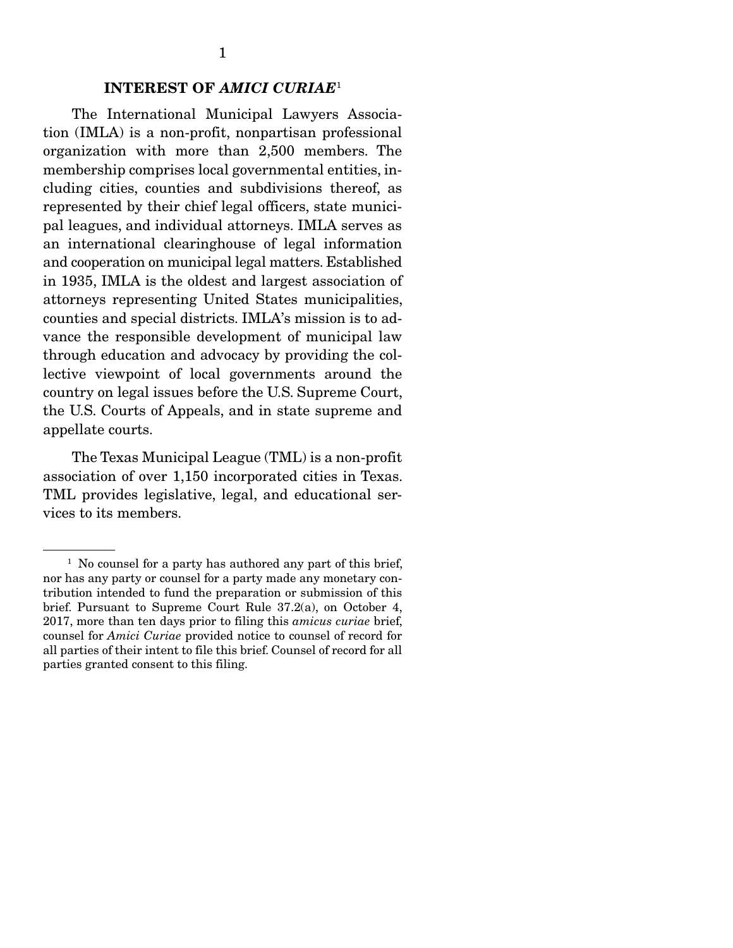### INTEREST OF *AMICI CURIAE*<sup>1</sup>

 The International Municipal Lawyers Association (IMLA) is a non-profit, nonpartisan professional organization with more than 2,500 members. The membership comprises local governmental entities, including cities, counties and subdivisions thereof, as represented by their chief legal officers, state municipal leagues, and individual attorneys. IMLA serves as an international clearinghouse of legal information and cooperation on municipal legal matters. Established in 1935, IMLA is the oldest and largest association of attorneys representing United States municipalities, counties and special districts. IMLA's mission is to advance the responsible development of municipal law through education and advocacy by providing the collective viewpoint of local governments around the country on legal issues before the U.S. Supreme Court, the U.S. Courts of Appeals, and in state supreme and appellate courts.

 The Texas Municipal League (TML) is a non-profit association of over 1,150 incorporated cities in Texas. TML provides legislative, legal, and educational services to its members.

<sup>&</sup>lt;sup>1</sup> No counsel for a party has authored any part of this brief, nor has any party or counsel for a party made any monetary contribution intended to fund the preparation or submission of this brief. Pursuant to Supreme Court Rule 37.2(a), on October 4, 2017, more than ten days prior to filing this *amicus curiae* brief, counsel for *Amici Curiae* provided notice to counsel of record for all parties of their intent to file this brief. Counsel of record for all parties granted consent to this filing.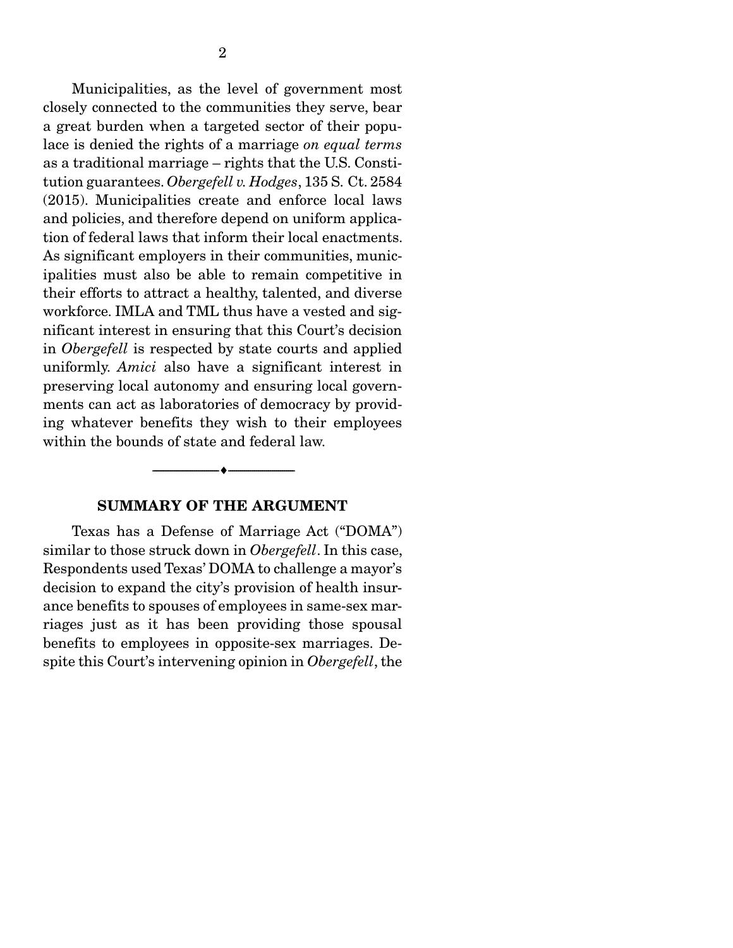Municipalities, as the level of government most closely connected to the communities they serve, bear a great burden when a targeted sector of their populace is denied the rights of a marriage *on equal terms*  as a traditional marriage – rights that the U.S. Constitution guarantees. *Obergefell v. Hodges*, 135 S. Ct. 2584 (2015). Municipalities create and enforce local laws and policies, and therefore depend on uniform application of federal laws that inform their local enactments. As significant employers in their communities, municipalities must also be able to remain competitive in their efforts to attract a healthy, talented, and diverse workforce. IMLA and TML thus have a vested and significant interest in ensuring that this Court's decision in *Obergefell* is respected by state courts and applied uniformly. *Amici* also have a significant interest in preserving local autonomy and ensuring local governments can act as laboratories of democracy by providing whatever benefits they wish to their employees within the bounds of state and federal law.

#### SUMMARY OF THE ARGUMENT

--------------------------------- ---------------------------------

 Texas has a Defense of Marriage Act ("DOMA") similar to those struck down in *Obergefell*. In this case, Respondents used Texas' DOMA to challenge a mayor's decision to expand the city's provision of health insurance benefits to spouses of employees in same-sex marriages just as it has been providing those spousal benefits to employees in opposite-sex marriages. Despite this Court's intervening opinion in *Obergefell*, the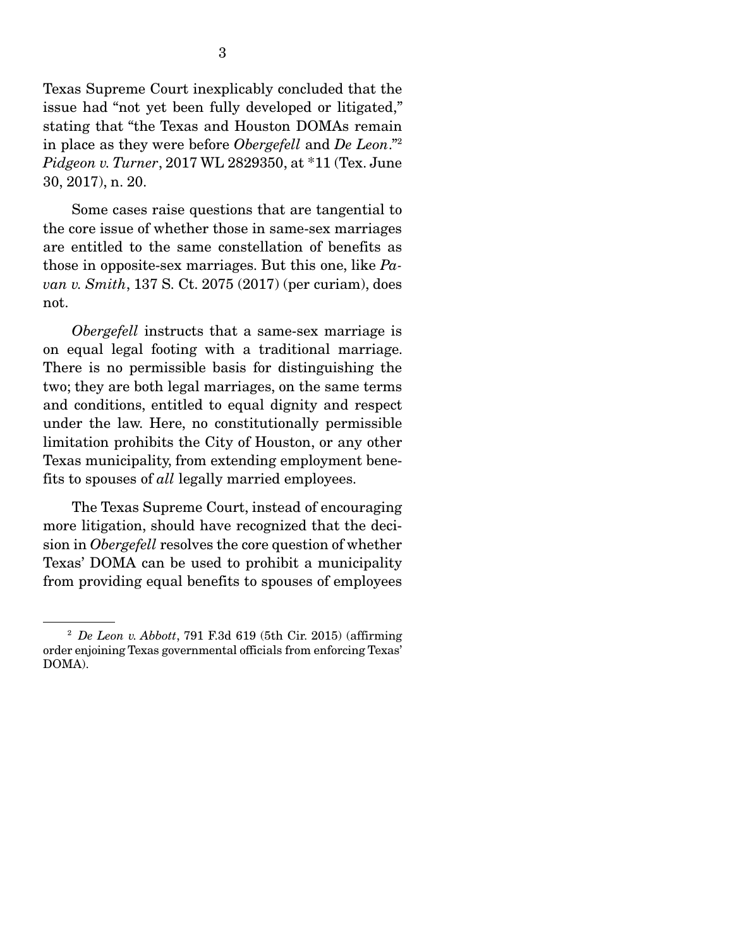Texas Supreme Court inexplicably concluded that the issue had "not yet been fully developed or litigated," stating that "the Texas and Houston DOMAs remain in place as they were before *Obergefell* and *De Leon*."2 *Pidgeon v. Turner*, 2017 WL 2829350, at \*11 (Tex. June 30, 2017), n. 20.

 Some cases raise questions that are tangential to the core issue of whether those in same-sex marriages are entitled to the same constellation of benefits as those in opposite-sex marriages. But this one, like *Pavan v. Smith*, 137 S. Ct. 2075 (2017) (per curiam), does not.

*Obergefell instructs that a same-sex marriage is* on equal legal footing with a traditional marriage. There is no permissible basis for distinguishing the two; they are both legal marriages, on the same terms and conditions, entitled to equal dignity and respect under the law. Here, no constitutionally permissible limitation prohibits the City of Houston, or any other Texas municipality, from extending employment benefits to spouses of *all* legally married employees.

 The Texas Supreme Court, instead of encouraging more litigation, should have recognized that the decision in *Obergefell* resolves the core question of whether Texas' DOMA can be used to prohibit a municipality from providing equal benefits to spouses of employees

<sup>2</sup> *De Leon v. Abbott*, 791 F.3d 619 (5th Cir. 2015) (affirming order enjoining Texas governmental officials from enforcing Texas' DOMA).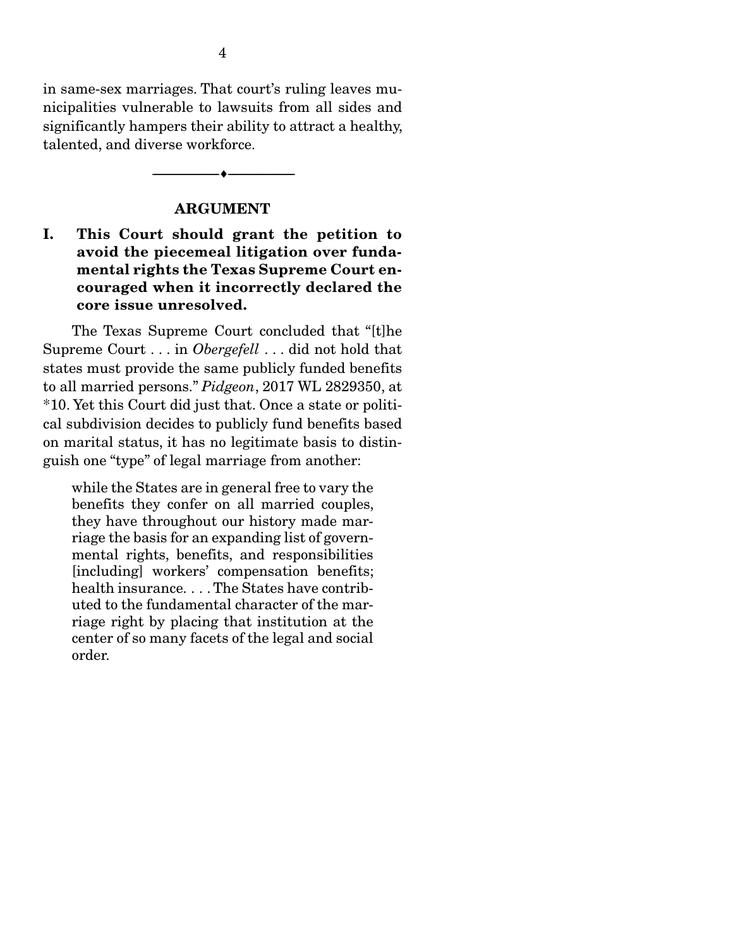in same-sex marriages. That court's ruling leaves municipalities vulnerable to lawsuits from all sides and significantly hampers their ability to attract a healthy, talented, and diverse workforce.

#### ARGUMENT

--------------------------------- ---------------------------------

## I. This Court should grant the petition to avoid the piecemeal litigation over fundamental rights the Texas Supreme Court encouraged when it incorrectly declared the core issue unresolved.

 The Texas Supreme Court concluded that "[t]he Supreme Court . . . in *Obergefell* . . . did not hold that states must provide the same publicly funded benefits to all married persons." *Pidgeon*, 2017 WL 2829350, at \*10. Yet this Court did just that. Once a state or political subdivision decides to publicly fund benefits based on marital status, it has no legitimate basis to distinguish one "type" of legal marriage from another:

while the States are in general free to vary the benefits they confer on all married couples, they have throughout our history made marriage the basis for an expanding list of governmental rights, benefits, and responsibilities [including] workers' compensation benefits; health insurance. . . . The States have contributed to the fundamental character of the marriage right by placing that institution at the center of so many facets of the legal and social order.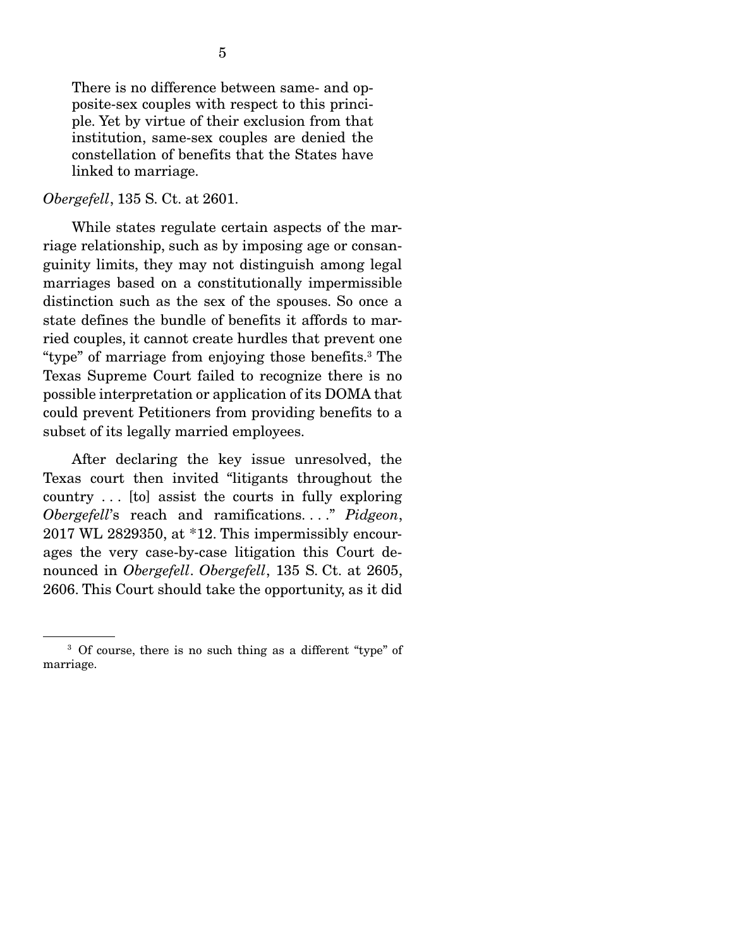There is no difference between same- and opposite-sex couples with respect to this principle. Yet by virtue of their exclusion from that institution, same-sex couples are denied the constellation of benefits that the States have linked to marriage.

#### *Obergefell*, 135 S. Ct. at 2601.

 While states regulate certain aspects of the marriage relationship, such as by imposing age or consanguinity limits, they may not distinguish among legal marriages based on a constitutionally impermissible distinction such as the sex of the spouses. So once a state defines the bundle of benefits it affords to married couples, it cannot create hurdles that prevent one "type" of marriage from enjoying those benefits.3 The Texas Supreme Court failed to recognize there is no possible interpretation or application of its DOMA that could prevent Petitioners from providing benefits to a subset of its legally married employees.

 After declaring the key issue unresolved, the Texas court then invited "litigants throughout the country . . . [to] assist the courts in fully exploring *Obergefell*'s reach and ramifications. . . ." *Pidgeon*, 2017 WL 2829350, at \*12. This impermissibly encourages the very case-by-case litigation this Court denounced in *Obergefell*. *Obergefell*, 135 S. Ct. at 2605, 2606. This Court should take the opportunity, as it did

<sup>&</sup>lt;sup>3</sup> Of course, there is no such thing as a different "type" of marriage.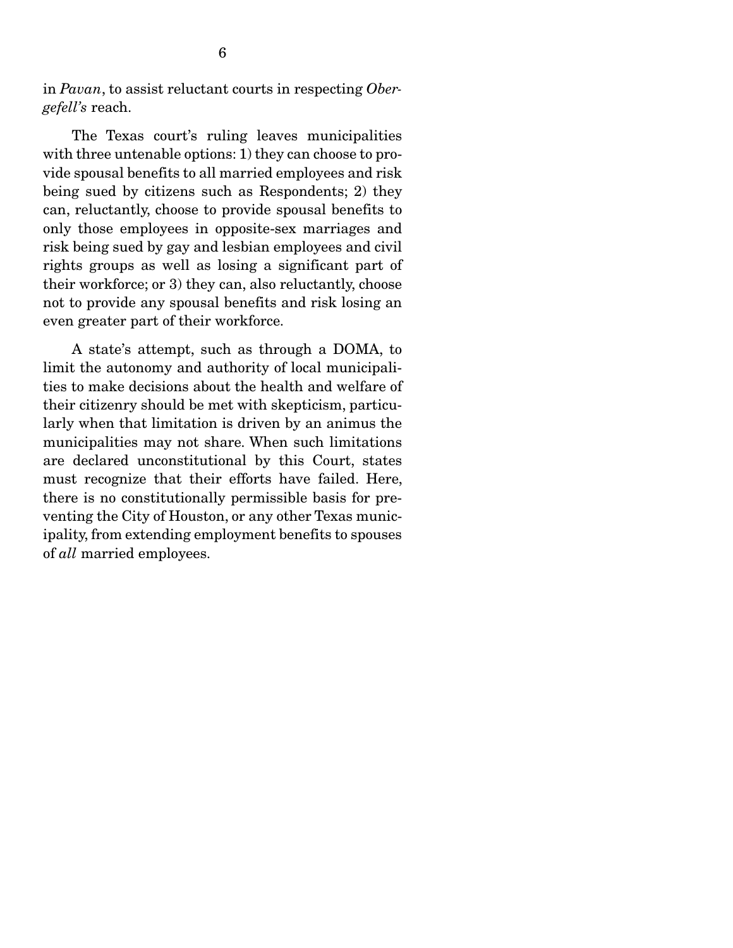in *Pavan*, to assist reluctant courts in respecting *Obergefell's* reach.

 The Texas court's ruling leaves municipalities with three untenable options: 1) they can choose to provide spousal benefits to all married employees and risk being sued by citizens such as Respondents; 2) they can, reluctantly, choose to provide spousal benefits to only those employees in opposite-sex marriages and risk being sued by gay and lesbian employees and civil rights groups as well as losing a significant part of their workforce; or 3) they can, also reluctantly, choose not to provide any spousal benefits and risk losing an even greater part of their workforce.

 A state's attempt, such as through a DOMA, to limit the autonomy and authority of local municipalities to make decisions about the health and welfare of their citizenry should be met with skepticism, particularly when that limitation is driven by an animus the municipalities may not share. When such limitations are declared unconstitutional by this Court, states must recognize that their efforts have failed. Here, there is no constitutionally permissible basis for preventing the City of Houston, or any other Texas municipality, from extending employment benefits to spouses of *all* married employees.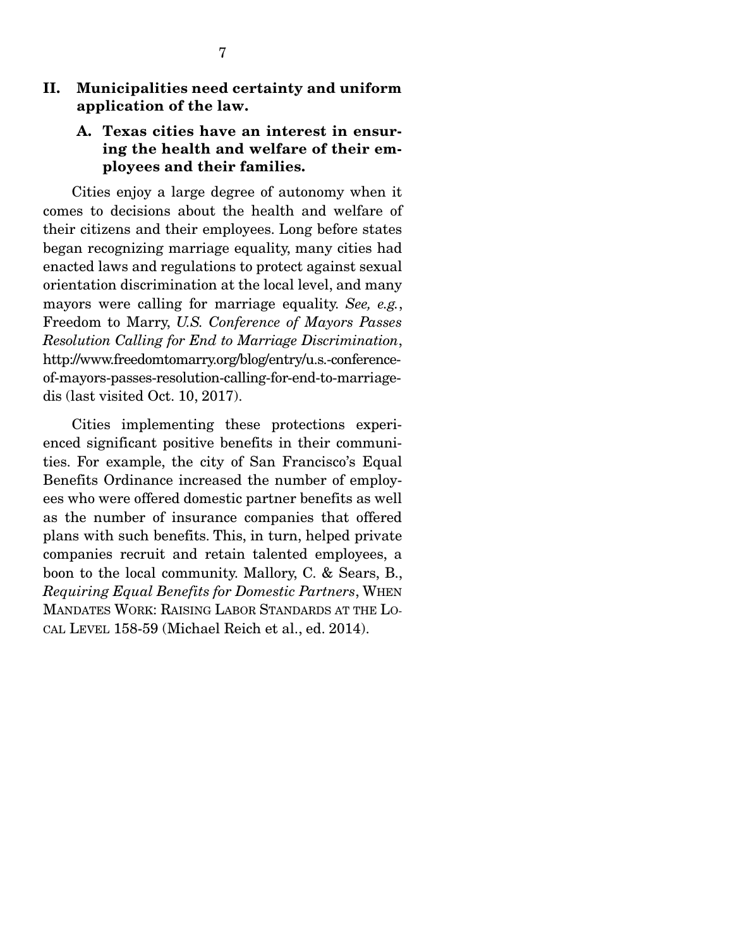### II. Municipalities need certainty and uniform application of the law.

## A. Texas cities have an interest in ensuring the health and welfare of their employees and their families.

 Cities enjoy a large degree of autonomy when it comes to decisions about the health and welfare of their citizens and their employees. Long before states began recognizing marriage equality, many cities had enacted laws and regulations to protect against sexual orientation discrimination at the local level, and many mayors were calling for marriage equality. *See, e.g.*, Freedom to Marry, *U.S. Conference of Mayors Passes Resolution Calling for End to Marriage Discrimination*, http://www.freedomtomarry.org/blog/entry/u.s.-conferenceof-mayors-passes-resolution-calling-for-end-to-marriagedis (last visited Oct. 10, 2017).

 Cities implementing these protections experienced significant positive benefits in their communities. For example, the city of San Francisco's Equal Benefits Ordinance increased the number of employees who were offered domestic partner benefits as well as the number of insurance companies that offered plans with such benefits. This, in turn, helped private companies recruit and retain talented employees, a boon to the local community. Mallory, C. & Sears, B., *Requiring Equal Benefits for Domestic Partners*, WHEN MANDATES WORK: RAISING LABOR STANDARDS AT THE LO-CAL LEVEL 158-59 (Michael Reich et al., ed. 2014).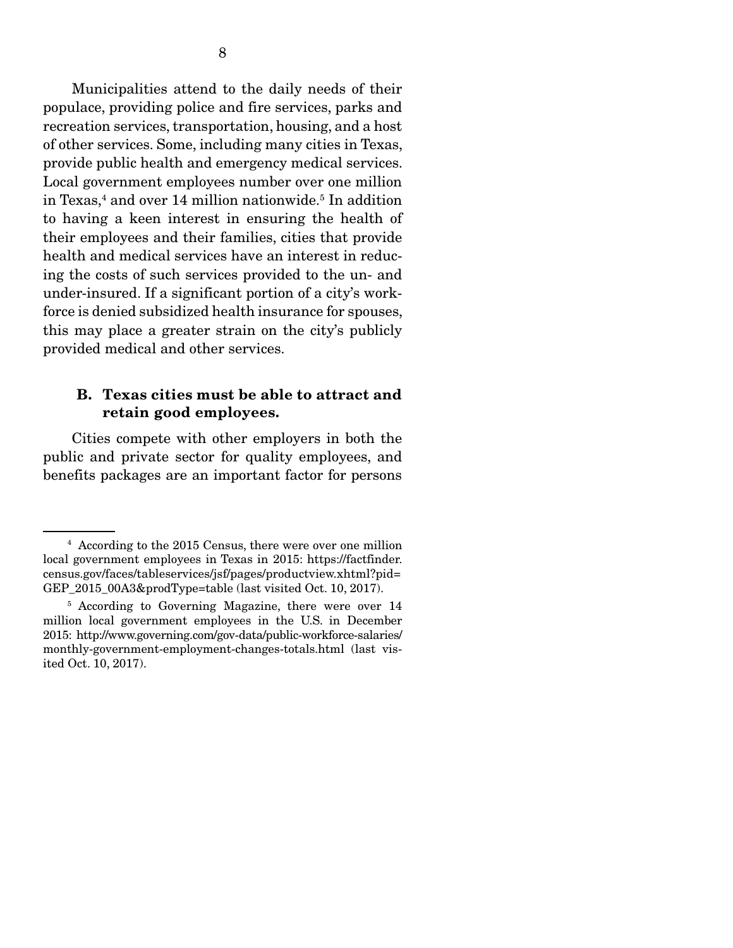Municipalities attend to the daily needs of their populace, providing police and fire services, parks and recreation services, transportation, housing, and a host of other services. Some, including many cities in Texas, provide public health and emergency medical services. Local government employees number over one million in Texas,<sup>4</sup> and over 14 million nationwide.<sup>5</sup> In addition to having a keen interest in ensuring the health of their employees and their families, cities that provide health and medical services have an interest in reducing the costs of such services provided to the un- and under-insured. If a significant portion of a city's workforce is denied subsidized health insurance for spouses, this may place a greater strain on the city's publicly provided medical and other services.

### B. Texas cities must be able to attract and retain good employees.

 Cities compete with other employers in both the public and private sector for quality employees, and benefits packages are an important factor for persons

<sup>4</sup> According to the 2015 Census, there were over one million local government employees in Texas in 2015: https://factfinder. census.gov/faces/tableservices/jsf/pages/productview.xhtml?pid= GEP 2015 00A3&prodType=table (last visited Oct. 10, 2017).

<sup>&</sup>lt;sup>5</sup> According to Governing Magazine, there were over 14 million local government employees in the U.S. in December 2015: http://www.governing.com/gov-data/public-workforce-salaries/ monthly-government-employment-changes-totals.html (last visited Oct. 10, 2017).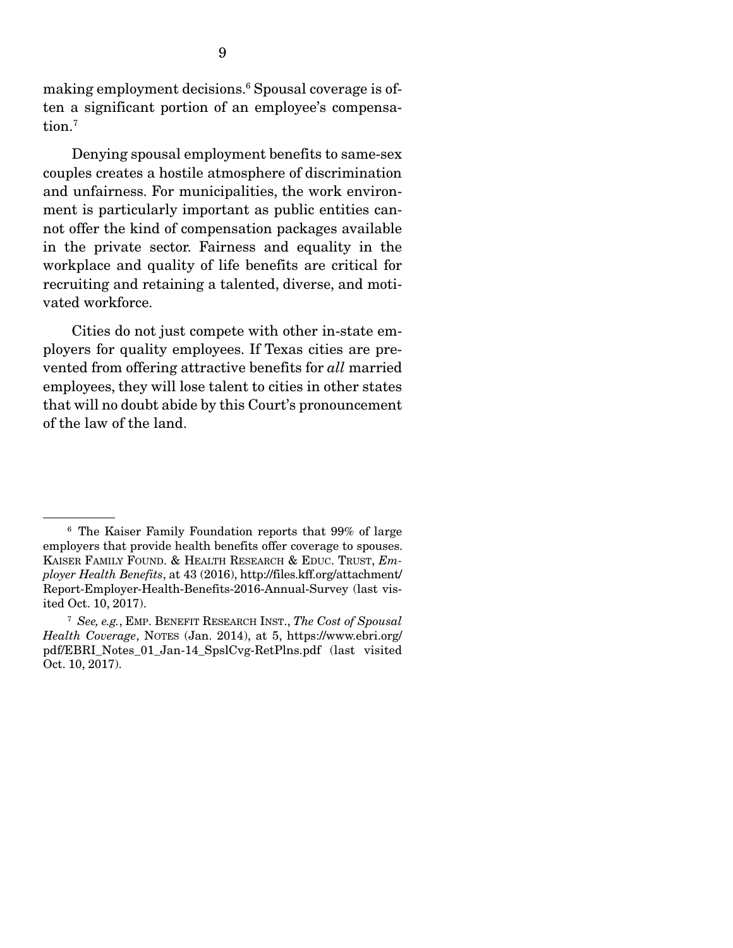making employment decisions.6 Spousal coverage is often a significant portion of an employee's compensation.7

 Denying spousal employment benefits to same-sex couples creates a hostile atmosphere of discrimination and unfairness. For municipalities, the work environment is particularly important as public entities cannot offer the kind of compensation packages available in the private sector. Fairness and equality in the workplace and quality of life benefits are critical for recruiting and retaining a talented, diverse, and motivated workforce.

 Cities do not just compete with other in-state employers for quality employees. If Texas cities are prevented from offering attractive benefits for *all* married employees, they will lose talent to cities in other states that will no doubt abide by this Court's pronouncement of the law of the land.

<sup>6</sup> The Kaiser Family Foundation reports that 99% of large employers that provide health benefits offer coverage to spouses. KAISER FAMILY FOUND. & HEALTH RESEARCH & EDUC. TRUST, *Employer Health Benefits*, at 43 (2016), http://files.kff.org/attachment/ Report-Employer-Health-Benefits-2016-Annual-Survey (last visited Oct. 10, 2017).

<sup>7</sup>  *See, e.g.*, EMP. BENEFIT RESEARCH INST., *The Cost of Spousal Health Coverage*, NOTES (Jan. 2014), at 5, https://www.ebri.org/ pdf/EBRI\_Notes\_01\_Jan-14\_SpslCvg-RetPlns.pdf (last visited Oct. 10, 2017).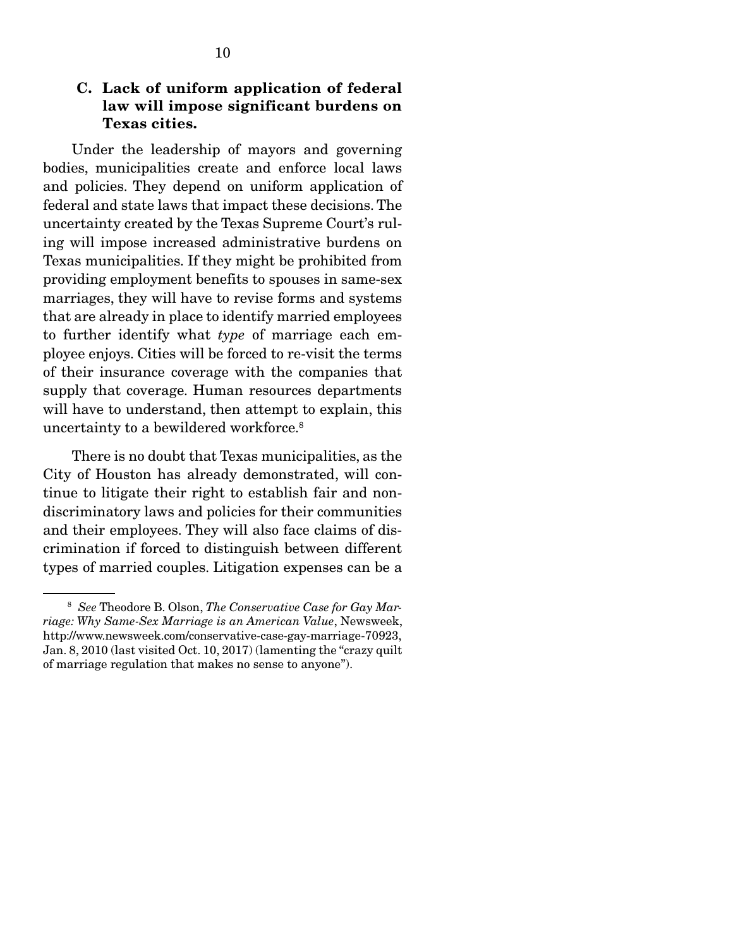### C. Lack of uniform application of federal law will impose significant burdens on Texas cities.

 Under the leadership of mayors and governing bodies, municipalities create and enforce local laws and policies. They depend on uniform application of federal and state laws that impact these decisions. The uncertainty created by the Texas Supreme Court's ruling will impose increased administrative burdens on Texas municipalities. If they might be prohibited from providing employment benefits to spouses in same-sex marriages, they will have to revise forms and systems that are already in place to identify married employees to further identify what *type* of marriage each employee enjoys. Cities will be forced to re-visit the terms of their insurance coverage with the companies that supply that coverage. Human resources departments will have to understand, then attempt to explain, this uncertainty to a bewildered workforce.<sup>8</sup>

 There is no doubt that Texas municipalities, as the City of Houston has already demonstrated, will continue to litigate their right to establish fair and nondiscriminatory laws and policies for their communities and their employees. They will also face claims of discrimination if forced to distinguish between different types of married couples. Litigation expenses can be a

<sup>8</sup> *See* Theodore B. Olson, *The Conservative Case for Gay Marriage: Why Same-Sex Marriage is an American Value*, Newsweek, http://www.newsweek.com/conservative-case-gay-marriage-70923, Jan. 8, 2010 (last visited Oct. 10, 2017) (lamenting the "crazy quilt of marriage regulation that makes no sense to anyone").